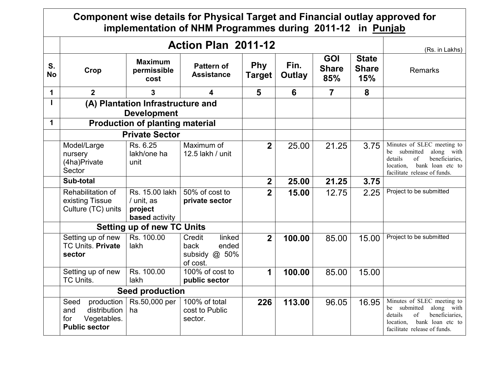|                 |                                                                                         | Component wise details for Physical Target and Financial outlay approved for<br>implementation of NHM Programmes during 2011-12 in Punjab |                                                                  |                             |                       |                                   |                                            |                                                                                                                                                                 |
|-----------------|-----------------------------------------------------------------------------------------|-------------------------------------------------------------------------------------------------------------------------------------------|------------------------------------------------------------------|-----------------------------|-----------------------|-----------------------------------|--------------------------------------------|-----------------------------------------------------------------------------------------------------------------------------------------------------------------|
|                 |                                                                                         |                                                                                                                                           | Action Plan 2011-12                                              |                             |                       |                                   |                                            | (Rs. in Lakhs)                                                                                                                                                  |
| S.<br><b>No</b> | Crop                                                                                    | <b>Maximum</b><br>permissible<br>cost                                                                                                     | <b>Pattern of</b><br><b>Assistance</b>                           | <b>Phy</b><br><b>Target</b> | Fin.<br><b>Outlay</b> | <b>GOI</b><br><b>Share</b><br>85% | <b>State</b><br><b>Share</b><br><b>15%</b> | <b>Remarks</b>                                                                                                                                                  |
| 1               | 2 <sup>1</sup>                                                                          | 3                                                                                                                                         | 4                                                                | 5                           | 6                     | $\overline{7}$                    | 8                                          |                                                                                                                                                                 |
|                 |                                                                                         | (A) Plantation Infrastructure and<br><b>Development</b>                                                                                   |                                                                  |                             |                       |                                   |                                            |                                                                                                                                                                 |
| $\mathbf 1$     |                                                                                         | <b>Production of planting material</b>                                                                                                    |                                                                  |                             |                       |                                   |                                            |                                                                                                                                                                 |
|                 |                                                                                         | <b>Private Sector</b>                                                                                                                     |                                                                  |                             |                       |                                   |                                            |                                                                                                                                                                 |
|                 | Model/Large<br>nursery<br>(4ha)Private<br>Sector                                        | Rs. 6.25<br>lakh/one ha<br>unit                                                                                                           | Maximum of<br>12.5 lakh / unit                                   | $\overline{2}$              | 25.00                 | 21.25                             | 3.75                                       | Minutes of SLEC meeting to<br>be submitted<br>along with<br>details<br>beneficiaries,<br>of<br>bank loan etc to<br>location,<br>facilitate release of funds.    |
|                 | Sub-total                                                                               |                                                                                                                                           |                                                                  | 2 <sup>1</sup>              | 25.00                 | 21.25                             | 3.75                                       |                                                                                                                                                                 |
|                 | Rehabilitation of<br>existing Tissue<br>Culture (TC) units                              | Rs. 15.00 lakh<br>/ unit, as<br>project<br><b>based</b> activity                                                                          | 50% of cost to<br>private sector                                 | 2 <sup>1</sup>              | 15.00                 | 12.75                             | 2.25                                       | Project to be submitted                                                                                                                                         |
|                 |                                                                                         | <b>Setting up of new TC Units</b>                                                                                                         |                                                                  |                             |                       |                                   |                                            |                                                                                                                                                                 |
|                 | Setting up of new<br>TC Units. Private<br>sector                                        | Rs. 100.00<br>lakh                                                                                                                        | Credit<br>linked<br>ended<br>back<br>subsidy $@$ 50%<br>of cost. | $\overline{2}$              | 100.00                | 85.00                             | 15.00                                      | Project to be submitted                                                                                                                                         |
|                 | Setting up of new<br>TC Units.                                                          | Rs. 100.00<br>lakh                                                                                                                        | 100% of cost to<br>public sector                                 | $\mathbf 1$                 | 100.00                | 85.00                             | 15.00                                      |                                                                                                                                                                 |
|                 | <b>Seed production</b>                                                                  |                                                                                                                                           |                                                                  |                             |                       |                                   |                                            |                                                                                                                                                                 |
|                 | Seed<br>production<br>distribution<br>and<br>Vegetables.<br>for<br><b>Public sector</b> | Rs.50,000 per<br>ha                                                                                                                       | 100% of total<br>cost to Public<br>sector.                       | 226                         | 113.00                | 96.05                             | 16.95                                      | Minutes of SLEC meeting to<br>submitted<br>along with<br>be<br>details<br>of<br>beneficiaries,<br>bank loan etc to<br>location,<br>facilitate release of funds. |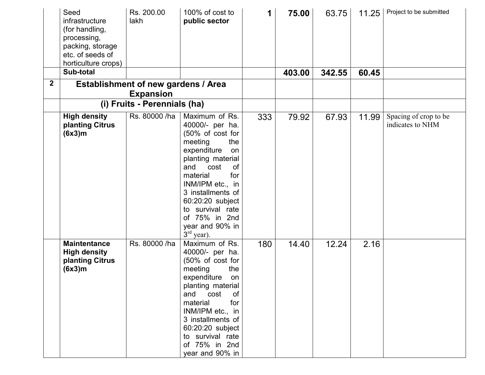|             | Seed<br>infrastructure<br>(for handling,<br>processing,<br>packing, storage<br>etc. of seeds of<br>horticulture crops) | Rs. 200.00<br>lakh                                             | 100% of cost to<br>public sector                                                                                                                                                                                                                                                                      | 1   | 75.00  | 63.75  | 11.25 | Project to be submitted                   |
|-------------|------------------------------------------------------------------------------------------------------------------------|----------------------------------------------------------------|-------------------------------------------------------------------------------------------------------------------------------------------------------------------------------------------------------------------------------------------------------------------------------------------------------|-----|--------|--------|-------|-------------------------------------------|
|             | Sub-total                                                                                                              |                                                                |                                                                                                                                                                                                                                                                                                       |     | 403.00 | 342.55 | 60.45 |                                           |
| $\mathbf 2$ |                                                                                                                        | <b>Establishment of new gardens / Area</b><br><b>Expansion</b> |                                                                                                                                                                                                                                                                                                       |     |        |        |       |                                           |
|             |                                                                                                                        | (i) Fruits - Perennials (ha)                                   |                                                                                                                                                                                                                                                                                                       |     |        |        |       |                                           |
|             | <b>High density</b><br>planting Citrus<br>(6x3)m                                                                       | Rs. 80000 /ha                                                  | Maximum of Rs.<br>40000/- per ha.<br>(50% of cost for<br>the<br>meeting<br>expenditure<br>on<br>planting material<br>and<br>cost<br><b>of</b><br>material<br>for<br>INM/IPM etc., in<br>3 installments of<br>60:20:20 subject<br>to survival rate<br>of 75% in 2nd<br>year and 90% in<br>$3rd$ year). | 333 | 79.92  | 67.93  | 11.99 | Spacing of crop to be<br>indicates to NHM |
|             | <b>Maintentance</b><br><b>High density</b><br>planting Citrus<br>(6x3)m                                                | Rs. 80000 /ha                                                  | Maximum of Rs.<br>40000/- per ha.<br>(50% of cost for<br>meeting<br>the<br>expenditure<br>on<br>planting material<br>and cost<br>0f<br>for<br>material<br>INM/IPM etc., in<br>3 installments of<br>60:20:20 subject<br>to survival rate<br>of 75% in 2nd<br>year and 90% in                           | 180 | 14.40  | 12.24  | 2.16  |                                           |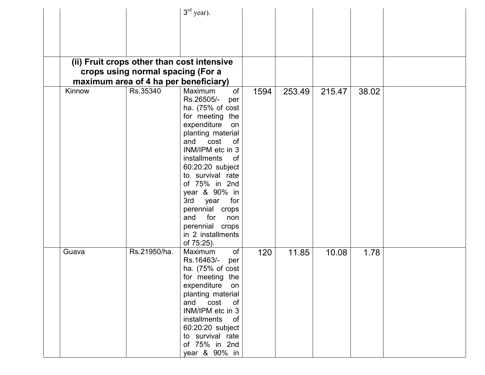|        |                                       | $3rd$ year).                               |      |        |        |       |  |
|--------|---------------------------------------|--------------------------------------------|------|--------|--------|-------|--|
|        |                                       |                                            |      |        |        |       |  |
|        |                                       |                                            |      |        |        |       |  |
|        |                                       |                                            |      |        |        |       |  |
|        |                                       |                                            |      |        |        |       |  |
|        |                                       |                                            |      |        |        |       |  |
|        |                                       | (ii) Fruit crops other than cost intensive |      |        |        |       |  |
|        | crops using normal spacing (For a     |                                            |      |        |        |       |  |
|        | maximum area of 4 ha per beneficiary) |                                            |      |        |        |       |  |
| Kinnow | Rs.35340                              | Maximum<br>of                              | 1594 | 253.49 | 215.47 | 38.02 |  |
|        |                                       | Rs.26505/-<br>per                          |      |        |        |       |  |
|        |                                       | ha. $(75\% \text{ of cost})$               |      |        |        |       |  |
|        |                                       | for meeting the                            |      |        |        |       |  |
|        |                                       | expenditure<br>on                          |      |        |        |       |  |
|        |                                       | planting material                          |      |        |        |       |  |
|        |                                       | and<br>cost<br><b>of</b>                   |      |        |        |       |  |
|        |                                       | INM/IPM etc in 3                           |      |        |        |       |  |
|        |                                       | installments<br>of                         |      |        |        |       |  |
|        |                                       | 60:20:20 subject                           |      |        |        |       |  |
|        |                                       | to survival rate                           |      |        |        |       |  |
|        |                                       | of 75% in 2nd                              |      |        |        |       |  |
|        |                                       | year & 90% in                              |      |        |        |       |  |
|        |                                       | 3rd year<br>for                            |      |        |        |       |  |
|        |                                       | perennial crops                            |      |        |        |       |  |
|        |                                       | and<br>for<br>non                          |      |        |        |       |  |
|        |                                       | perennial crops                            |      |        |        |       |  |
|        |                                       | in 2 installments                          |      |        |        |       |  |
|        |                                       | of 75:25).                                 |      |        |        |       |  |
| Guava  | Rs.21950/ha.                          | Maximum<br>of                              | 120  | 11.85  | 10.08  | 1.78  |  |
|        |                                       | Rs.16463/-<br>per                          |      |        |        |       |  |
|        |                                       | ha. (75% of cost                           |      |        |        |       |  |
|        |                                       | for meeting the                            |      |        |        |       |  |
|        |                                       | expenditure<br>on                          |      |        |        |       |  |
|        |                                       | planting material                          |      |        |        |       |  |
|        |                                       | cost<br>and<br>of                          |      |        |        |       |  |
|        |                                       | INM/IPM etc in 3                           |      |        |        |       |  |
|        |                                       | installments<br>0f                         |      |        |        |       |  |
|        |                                       | 60:20:20 subject                           |      |        |        |       |  |
|        |                                       | to survival rate                           |      |        |        |       |  |
|        |                                       | of 75% in 2nd                              |      |        |        |       |  |
|        |                                       | year & 90% in                              |      |        |        |       |  |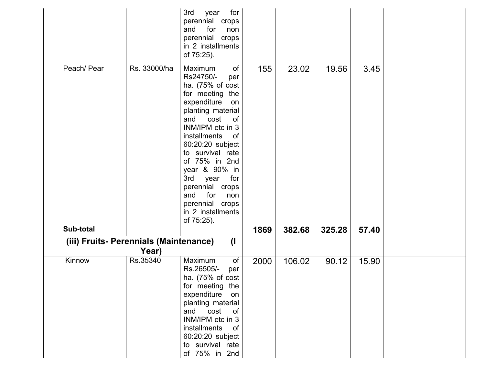|                                        |              | 3rd<br>for<br>year<br>perennial crops<br>and<br>for<br>non<br>perennial crops<br>in 2 installments                                                                                                                                                                                                                                                                                                     |      |        |        |       |  |
|----------------------------------------|--------------|--------------------------------------------------------------------------------------------------------------------------------------------------------------------------------------------------------------------------------------------------------------------------------------------------------------------------------------------------------------------------------------------------------|------|--------|--------|-------|--|
| Peach/Pear                             | Rs. 33000/ha | of 75:25).<br>Maximum<br>of<br>Rs24750/-<br>per<br>ha. $(75\% \text{ of cost})$<br>for meeting the<br>expenditure<br>on<br>planting material<br>cost<br>and<br>of<br>INM/IPM etc in 3<br>installments<br>of<br>60:20:20 subject<br>to survival rate<br>of 75% in 2nd<br>year & 90% in<br>3rd<br>year for<br>perennial crops<br>and<br>for<br>non<br>perennial crops<br>in 2 installments<br>of 75:25). | 155  | 23.02  | 19.56  | 3.45  |  |
| Sub-total                              |              |                                                                                                                                                                                                                                                                                                                                                                                                        | 1869 | 382.68 | 325.28 | 57.40 |  |
| (iii) Fruits- Perennials (Maintenance) | Year)        | $\mathbf{I}$                                                                                                                                                                                                                                                                                                                                                                                           |      |        |        |       |  |
| Kinnow                                 | Rs.35340     | of<br>Maximum<br>Rs.26505/-<br>per<br>ha. $(75\% \text{ of cost})$<br>for meeting<br>the<br>expenditure<br>on<br>planting material<br>and cost<br>$\circ$ of<br>INM/IPM etc in 3<br>installments<br>0f<br>60:20:20 subject<br>to survival rate<br>of 75% in 2nd                                                                                                                                        | 2000 | 106.02 | 90.12  | 15.90 |  |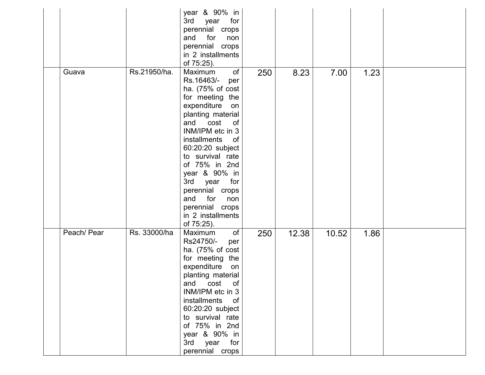|             |              | year & 90% in<br>3rd<br>year<br>for<br>perennial crops<br>and<br>for<br>non<br>perennial crops<br>in 2 installments<br>of 75:25).                                                                                                                                                                                                                                             |     |       |       |      |  |
|-------------|--------------|-------------------------------------------------------------------------------------------------------------------------------------------------------------------------------------------------------------------------------------------------------------------------------------------------------------------------------------------------------------------------------|-----|-------|-------|------|--|
| Guava       | Rs.21950/ha. | of<br>Maximum<br>Rs.16463/-<br>per<br>ha. (75% of cost<br>for meeting the<br>expenditure<br>on<br>planting material<br>and cost<br>of<br>INM/IPM etc in 3<br>installments<br>0f<br>60:20:20 subject<br>to survival rate<br>of 75% in 2nd<br>year & 90% in<br>3rd<br>year<br>for<br>perennial crops<br>and<br>for<br>non<br>perennial crops<br>in 2 installments<br>of 75:25). | 250 | 8.23  | 7.00  | 1.23 |  |
| Peach/ Pear | Rs. 33000/ha | Maximum<br>of<br>Rs24750/-<br>per<br>ha. (75% of cost<br>for meeting the<br>expenditure<br>on<br>planting material<br>and<br>cost<br>of<br>INM/IPM etc in 3<br>installments of<br>60:20:20 subject<br>to survival rate<br>of 75% in 2nd<br>year & 90% in<br>3rd year for<br>perennial crops                                                                                   | 250 | 12.38 | 10.52 | 1.86 |  |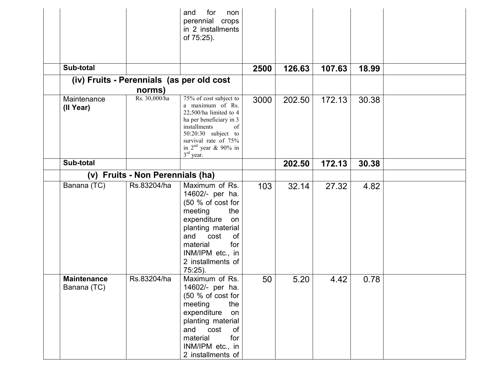|                                   |                                  | for<br>non<br>and<br>perennial crops<br>in 2 installments<br>of 75:25).                                                                                                                                           |      |        |        |       |  |
|-----------------------------------|----------------------------------|-------------------------------------------------------------------------------------------------------------------------------------------------------------------------------------------------------------------|------|--------|--------|-------|--|
|                                   |                                  |                                                                                                                                                                                                                   |      |        |        |       |  |
|                                   |                                  |                                                                                                                                                                                                                   |      |        |        |       |  |
| Sub-total                         |                                  |                                                                                                                                                                                                                   | 2500 | 126.63 | 107.63 | 18.99 |  |
|                                   |                                  | (iv) Fruits - Perennials (as per old cost                                                                                                                                                                         |      |        |        |       |  |
|                                   | norms)                           |                                                                                                                                                                                                                   |      |        |        |       |  |
| Maintenance<br>(II Year)          | Rs. 30,000/ha                    | 75% of cost subject to<br>a maximum of Rs.<br>$22,500/ha$ limited to 4<br>ha per beneficiary in 3<br>installments<br>of<br>$50:20:30$ subject to<br>survival rate of 75%<br>in $2nd$ year & 90% in<br>$3rd$ year. | 3000 | 202.50 | 172.13 | 30.38 |  |
| Sub-total                         |                                  |                                                                                                                                                                                                                   |      | 202.50 | 172.13 | 30.38 |  |
|                                   | (v) Fruits - Non Perennials (ha) |                                                                                                                                                                                                                   |      |        |        |       |  |
| Banana (TC)                       | Rs.83204/ha                      | Maximum of Rs.<br>14602/- per ha.<br>(50 % of cost for<br>meeting<br>the<br>expenditure<br>on<br>planting material<br>and<br>cost<br>0f<br>material<br>for<br>INM/IPM etc., in<br>2 installments of<br>$75:25$ ). | 103  | 32.14  | 27.32  | 4.82  |  |
| <b>Maintenance</b><br>Banana (TC) | Rs.83204/ha                      | Maximum of Rs.<br>14602/- per ha.<br>(50 % of cost for<br>the<br>meeting<br>expenditure<br>on<br>planting material<br>and cost<br><b>of</b><br>for<br>material<br>INM/IPM etc., in<br>2 installments of           | 50   | 5.20   | 4.42   | 0.78  |  |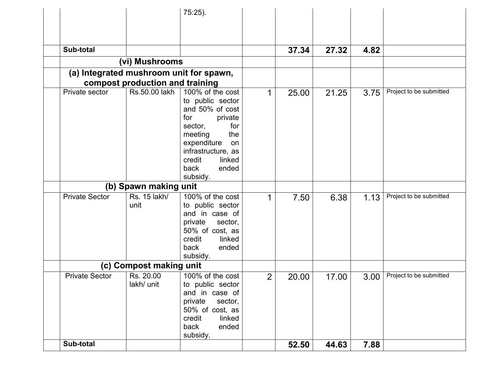|                                         |                                 | 75:25).                                                                                                                                                                                                   |                |       |       |      |                         |
|-----------------------------------------|---------------------------------|-----------------------------------------------------------------------------------------------------------------------------------------------------------------------------------------------------------|----------------|-------|-------|------|-------------------------|
|                                         |                                 |                                                                                                                                                                                                           |                |       |       |      |                         |
|                                         |                                 |                                                                                                                                                                                                           |                |       |       |      |                         |
| Sub-total                               |                                 |                                                                                                                                                                                                           |                | 37.34 | 27.32 | 4.82 |                         |
|                                         | (vi) Mushrooms                  |                                                                                                                                                                                                           |                |       |       |      |                         |
| (a) Integrated mushroom unit for spawn, | compost production and training |                                                                                                                                                                                                           |                |       |       |      |                         |
| Private sector                          | Rs.50.00 lakh                   | 100% of the cost<br>to public sector<br>and 50% of cost<br>for<br>private<br>for<br>sector,<br>the<br>meeting<br>expenditure<br>on<br>infrastructure, as<br>credit<br>linked<br>ended<br>back<br>subsidy. | 1              | 25.00 | 21.25 | 3.75 | Project to be submitted |
|                                         | (b) Spawn making unit           |                                                                                                                                                                                                           |                |       |       |      |                         |
| <b>Private Sector</b>                   | Rs. 15 lakh/<br>unit            | 100% of the cost<br>to public sector<br>and in case of<br>private<br>sector,<br>50% of cost, as<br>credit<br>linked<br>back<br>ended<br>subsidy.                                                          |                | 7.50  | 6.38  | 1.13 | Project to be submitted |
|                                         | (c) Compost making unit         |                                                                                                                                                                                                           |                |       |       |      |                         |
| <b>Private Sector</b>                   | Rs. 20.00<br>lakh/ unit         | 100% of the cost<br>to public sector<br>and in case of<br>private<br>sector,<br>50% of cost, as<br>linked<br>credit<br>back<br>ended<br>subsidy.                                                          | $\overline{2}$ | 20.00 | 17.00 | 3.00 | Project to be submitted |
| Sub-total                               |                                 |                                                                                                                                                                                                           |                | 52.50 | 44.63 | 7.88 |                         |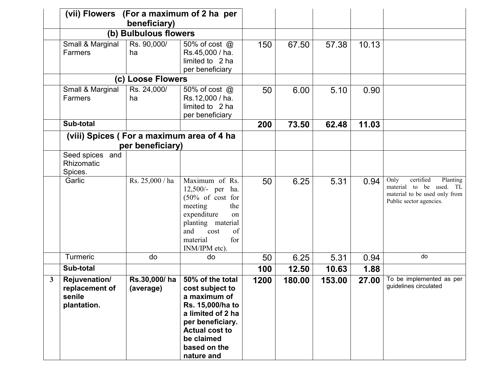|   | (vii) Flowers (For a maximum of 2 ha per                        | beneficiary)          |                                                                                                                                                                                                                      |      |        |        |       |                                                                                                                      |
|---|-----------------------------------------------------------------|-----------------------|----------------------------------------------------------------------------------------------------------------------------------------------------------------------------------------------------------------------|------|--------|--------|-------|----------------------------------------------------------------------------------------------------------------------|
|   |                                                                 | (b) Bulbulous flowers |                                                                                                                                                                                                                      |      |        |        |       |                                                                                                                      |
|   | Small & Marginal<br>Farmers                                     | Rs. 90,000/<br>ha     | 50% of cost @<br>Rs.45,000 / ha.<br>limited to 2 ha<br>per beneficiary                                                                                                                                               | 150  | 67.50  | 57.38  | 10.13 |                                                                                                                      |
|   |                                                                 | (c) Loose Flowers     |                                                                                                                                                                                                                      |      |        |        |       |                                                                                                                      |
|   | Small & Marginal<br>Farmers                                     | Rs. 24,000/<br>ha     | 50% of cost @<br>Rs.12,000 / ha.<br>limited to 2 ha<br>per beneficiary                                                                                                                                               | 50   | 6.00   | 5.10   | 0.90  |                                                                                                                      |
|   | Sub-total                                                       |                       |                                                                                                                                                                                                                      | 200  | 73.50  | 62.48  | 11.03 |                                                                                                                      |
|   | (viii) Spices (For a maximum area of 4 ha                       |                       |                                                                                                                                                                                                                      |      |        |        |       |                                                                                                                      |
|   |                                                                 | per beneficiary)      |                                                                                                                                                                                                                      |      |        |        |       |                                                                                                                      |
|   | Seed spices and<br>Rhizomatic<br>Spices.                        |                       |                                                                                                                                                                                                                      |      |        |        |       |                                                                                                                      |
|   | Garlic                                                          | Rs. 25,000 / ha       | Maximum of Rs.<br>12,500/- per ha.<br>$(50\% \text{ of cost for})$<br>meeting<br>the<br>expenditure<br>on<br>planting material<br>and<br>cost<br>of<br>material<br>for<br>INM/IPM etc).                              | 50   | 6.25   | 5.31   | 0.94  | certified<br>Only<br>Planting<br>material to be used. TL<br>material to be used only from<br>Public sector agencies. |
|   | Turmeric                                                        | do                    | do                                                                                                                                                                                                                   | 50   | 6.25   | 5.31   | 0.94  | do                                                                                                                   |
|   | Sub-total                                                       |                       |                                                                                                                                                                                                                      | 100  | 12.50  | 10.63  | 1.88  |                                                                                                                      |
| 3 | <b>Rejuvenation/</b><br>replacement of<br>senile<br>plantation. | (average)             | $\text{Rs.}30.000 / \text{ha}$ 50% of the total<br>cost subject to<br>a maximum of<br>Rs. 15,000/ha to<br>a limited of 2 ha<br>per beneficiary.<br><b>Actual cost to</b><br>be claimed<br>based on the<br>nature and | 1200 | 180.00 | 153.00 | 27.00 | To be implemented as per<br>guidelines circulated                                                                    |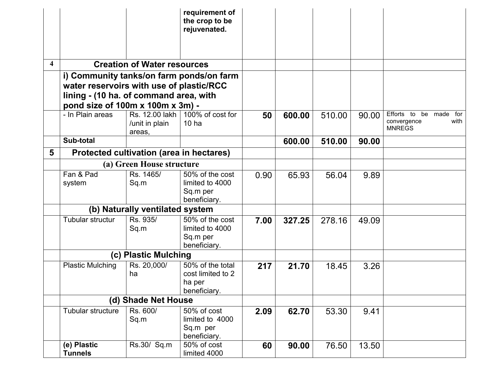|                         |                                                                                                                        |                                            | requirement of<br>the crop to be<br>rejuvenated.                |      |        |        |       |                                                                |
|-------------------------|------------------------------------------------------------------------------------------------------------------------|--------------------------------------------|-----------------------------------------------------------------|------|--------|--------|-------|----------------------------------------------------------------|
| $\overline{\mathbf{4}}$ |                                                                                                                        | <b>Creation of Water resources</b>         |                                                                 |      |        |        |       |                                                                |
|                         | water reservoirs with use of plastic/RCC<br>lining - (10 ha. of command area, with<br>pond size of 100m x 100m x 3m) - |                                            | i) Community tanks/on farm ponds/on farm                        |      |        |        |       |                                                                |
|                         | - In Plain areas                                                                                                       | Rs. 12.00 lakh<br>/unit in plain<br>areas, | 100% of cost for<br>10 <sub>ha</sub>                            | 50   | 600.00 | 510.00 | 90.00 | Efforts to be made for<br>with<br>convergence<br><b>MNREGS</b> |
|                         | Sub-total                                                                                                              |                                            |                                                                 |      | 600.00 | 510.00 | 90.00 |                                                                |
| 5                       |                                                                                                                        | Protected cultivation (area in hectares)   |                                                                 |      |        |        |       |                                                                |
|                         |                                                                                                                        | (a) Green House structure                  |                                                                 |      |        |        |       |                                                                |
|                         | Fan & Pad<br>system                                                                                                    | Rs. 1465/<br>Sq.m                          | 50% of the cost<br>limited to 4000<br>Sq.m per<br>beneficiary.  | 0.90 | 65.93  | 56.04  | 9.89  |                                                                |
|                         |                                                                                                                        | (b) Naturally ventilated system            |                                                                 |      |        |        |       |                                                                |
|                         | Tubular structur                                                                                                       | Rs. 935/<br>Sq.m                           | 50% of the cost<br>limited to 4000<br>Sq.m per<br>beneficiary.  | 7.00 | 327.25 | 278.16 | 49.09 |                                                                |
|                         |                                                                                                                        | (c) Plastic Mulching                       |                                                                 |      |        |        |       |                                                                |
|                         | <b>Plastic Mulching</b>                                                                                                | Rs. 20,000/<br>ha                          | 50% of the total<br>cost limited to 2<br>ha per<br>beneficiary. | 217  | 21.70  | 18.45  | 3.26  |                                                                |
|                         |                                                                                                                        | (d) Shade Net House                        |                                                                 |      |        |        |       |                                                                |
|                         | Tubular structure                                                                                                      | Rs. 600/<br>Sq.m                           | 50% of cost<br>limited to 4000<br>Sq.m per<br>beneficiary.      | 2.09 | 62.70  | 53.30  | 9.41  |                                                                |
|                         | (e) Plastic<br><b>Tunnels</b>                                                                                          | Rs.30/ Sq.m                                | 50% of cost<br>limited 4000                                     | 60   | 90.00  | 76.50  | 13.50 |                                                                |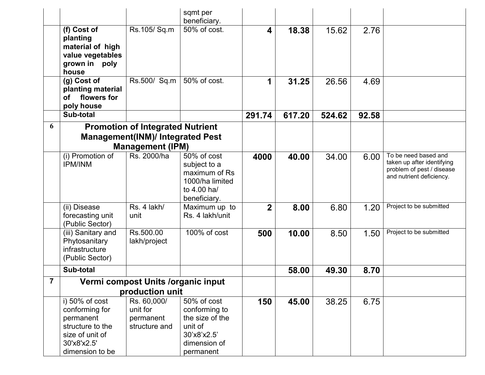|                |                                                                                                                        |                                                                                                               | sqmt per<br>beneficiary.                                                                               |                |        |        |       |                                                                                                             |
|----------------|------------------------------------------------------------------------------------------------------------------------|---------------------------------------------------------------------------------------------------------------|--------------------------------------------------------------------------------------------------------|----------------|--------|--------|-------|-------------------------------------------------------------------------------------------------------------|
|                | (f) Cost of<br>planting<br>material of high<br>value vegetables<br>grown in poly<br>house                              | Rs.105/Sq.m                                                                                                   | 50% of cost.                                                                                           | 4              | 18.38  | 15.62  | 2.76  |                                                                                                             |
|                | $(g)$ Cost of<br>planting material<br>flowers for<br>οf<br>poly house                                                  | Rs.500/ Sq.m                                                                                                  | 50% of cost.                                                                                           | 1              | 31.25  | 26.56  | 4.69  |                                                                                                             |
|                | Sub-total                                                                                                              |                                                                                                               |                                                                                                        | 291.74         | 617.20 | 524.62 | 92.58 |                                                                                                             |
| 6              |                                                                                                                        | <b>Promotion of Integrated Nutrient</b><br><b>Management(INM)/ Integrated Pest</b><br><b>Management (IPM)</b> |                                                                                                        |                |        |        |       |                                                                                                             |
|                | (i) Promotion of<br><b>IPM/INM</b>                                                                                     | Rs. 2000/ha                                                                                                   | 50% of cost<br>subject to a<br>maximum of Rs<br>1000/ha limited<br>to 4.00 ha/<br>beneficiary.         | 4000           | 40.00  | 34.00  | 6.00  | To be need based and<br>taken up after identifying<br>problem of pest / disease<br>and nutrient deficiency. |
|                | (ii) Disease<br>forecasting unit<br>(Public Sector)                                                                    | Rs. 4 lakh/<br>unit                                                                                           | Maximum up to<br>Rs. 4 lakh/unit                                                                       | $\overline{2}$ | 8.00   | 6.80   | 1.20  | Project to be submitted                                                                                     |
|                | (iii) Sanitary and<br>Phytosanitary<br>infrastructure<br>(Public Sector)                                               | Rs.500.00<br>lakh/project                                                                                     | 100% of cost                                                                                           | 500            | 10.00  | 8.50   | 1.50  | Project to be submitted                                                                                     |
|                | Sub-total                                                                                                              |                                                                                                               |                                                                                                        |                | 58.00  | 49.30  | 8.70  |                                                                                                             |
| $\overline{7}$ |                                                                                                                        | Vermi compost Units /organic input                                                                            |                                                                                                        |                |        |        |       |                                                                                                             |
|                |                                                                                                                        | production unit                                                                                               |                                                                                                        |                |        |        |       |                                                                                                             |
|                | i) 50% of cost<br>conforming for<br>permanent<br>structure to the<br>size of unit of<br>30'x8'x2.5'<br>dimension to be | Rs. 60,000/<br>unit for<br>permanent<br>structure and                                                         | 50% of cost<br>conforming to<br>the size of the<br>unit of<br>30'x8'x2.5'<br>dimension of<br>permanent | 150            | 45.00  | 38.25  | 6.75  |                                                                                                             |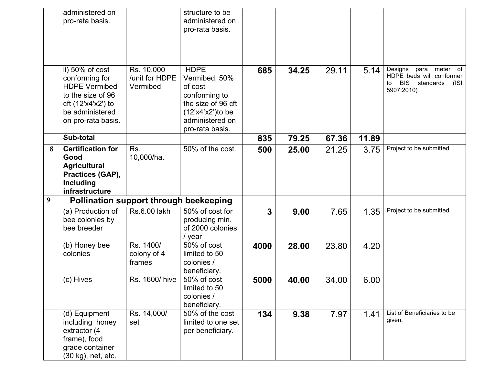|   | administered on<br>pro-rata basis.                                                                                                            |                                          | structure to be<br>administered on<br>pro-rata basis.                                                                                         |              |       |       |       |                                                                                                   |
|---|-----------------------------------------------------------------------------------------------------------------------------------------------|------------------------------------------|-----------------------------------------------------------------------------------------------------------------------------------------------|--------------|-------|-------|-------|---------------------------------------------------------------------------------------------------|
|   | ii) 50% of cost<br>conforming for<br><b>HDPE Vermibed</b><br>to the size of 96<br>cft (12'x4'x2') to<br>be administered<br>on pro-rata basis. | Rs. 10,000<br>/unit for HDPE<br>Vermibed | <b>HDPE</b><br>Vermibed, 50%<br>of cost<br>conforming to<br>the size of 96 cft<br>$(12^x)(12^x)(10)$ be<br>administered on<br>pro-rata basis. | 685          | 34.25 | 29.11 | 5.14  | Designs<br>para meter of<br>HDPE beds will conformer<br>BIS standards<br>to<br>(ISI<br>5907:2010) |
|   | Sub-total                                                                                                                                     |                                          |                                                                                                                                               | 835          | 79.25 | 67.36 | 11.89 |                                                                                                   |
| 8 | <b>Certification for</b><br>Good<br><b>Agricultural</b><br>Practices (GAP),<br>Including<br>infrastructure                                    | Rs.<br>10,000/ha.                        | 50% of the cost.                                                                                                                              | 500          | 25.00 | 21.25 | 3.75  | Project to be submitted                                                                           |
| 9 | <b>Pollination support through beekeeping</b>                                                                                                 |                                          |                                                                                                                                               |              |       |       |       |                                                                                                   |
|   | (a) Production of<br>bee colonies by<br>bee breeder                                                                                           | Rs.6.00 lakh                             | $\overline{50\%}$ of cost for<br>producing min.<br>of 2000 colonies<br>/ year                                                                 | $\mathbf{3}$ | 9.00  | 7.65  | 1.35  | Project to be submitted                                                                           |
|   | (b) Honey bee<br>colonies                                                                                                                     | Rs. 1400/<br>colony of 4<br>frames       | 50% of cost<br>limited to 50<br>colonies /<br>beneficiary.                                                                                    | 4000         | 28.00 | 23.80 | 4.20  |                                                                                                   |
|   | (c) Hives                                                                                                                                     | Rs. 1600/ hive                           | 50% of cost<br>limited to 50<br>colonies /<br>beneficiary.                                                                                    | 5000         | 40.00 | 34.00 | 6.00  |                                                                                                   |
|   | (d) Equipment<br>including honey<br>extractor (4<br>frame), food<br>grade container<br>(30 kg), net, etc.                                     | Rs. 14,000/<br>set                       | 50% of the cost<br>limited to one set<br>per beneficiary.                                                                                     | 134          | 9.38  | 7.97  | 1.41  | List of Beneficiaries to be<br>given.                                                             |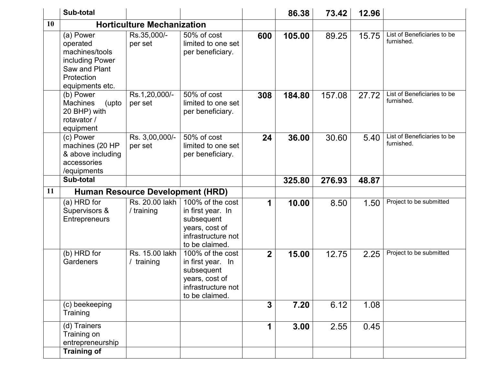|    | Sub-total                                                                                                    |                                         |                                                                                                               |                         | 86.38  | 73.42  | 12.96 |                                           |
|----|--------------------------------------------------------------------------------------------------------------|-----------------------------------------|---------------------------------------------------------------------------------------------------------------|-------------------------|--------|--------|-------|-------------------------------------------|
| 10 |                                                                                                              | <b>Horticulture Mechanization</b>       |                                                                                                               |                         |        |        |       |                                           |
|    | (a) Power<br>operated<br>machines/tools<br>including Power<br>Saw and Plant<br>Protection<br>equipments etc. | Rs.35,000/-<br>per set                  | 50% of cost<br>limited to one set<br>per beneficiary.                                                         | 600                     | 105.00 | 89.25  | 15.75 | List of Beneficiaries to be<br>furnished. |
|    | (b) Power<br><b>Machines</b><br>(upto<br>20 BHP) with<br>rotavator /<br>equipment                            | Rs.1,20,000/-<br>per set                | 50% of cost<br>limited to one set<br>per beneficiary.                                                         | 308                     | 184.80 | 157.08 | 27.72 | List of Beneficiaries to be<br>furnished. |
|    | (c) Power<br>machines (20 HP<br>& above including<br>accessories<br>/equipments                              | Rs. 3,00,000/-<br>per set               | 50% of cost<br>limited to one set<br>per beneficiary.                                                         | 24                      | 36.00  | 30.60  | 5.40  | List of Beneficiaries to be<br>furnished. |
|    | Sub-total                                                                                                    |                                         |                                                                                                               |                         | 325.80 | 276.93 | 48.87 |                                           |
| 11 |                                                                                                              | <b>Human Resource Development (HRD)</b> |                                                                                                               |                         |        |        |       |                                           |
|    | (a) HRD for<br>Supervisors &<br>Entrepreneurs                                                                | Rs. 20.00 lakh<br>/ training            | 100% of the cost<br>in first year. In<br>subsequent<br>years, cost of<br>infrastructure not<br>to be claimed. | 1                       | 10.00  | 8.50   | 1.50  | Project to be submitted                   |
|    | (b) HRD for<br>Gardeners                                                                                     | Rs. 15.00 lakh<br>/ training            | 100% of the cost<br>in first year. In<br>subsequent<br>years, cost of<br>infrastructure not<br>to be claimed. | $\overline{2}$          | 15.00  | 12.75  | 2.25  | Project to be submitted                   |
|    | (c) beekeeping<br>Training                                                                                   |                                         |                                                                                                               | $\overline{\mathbf{3}}$ | 7.20   | 6.12   | 1.08  |                                           |
|    | (d) Trainers<br>Training on<br>entrepreneurship<br><b>Training of</b>                                        |                                         |                                                                                                               | 1                       | 3.00   | 2.55   | 0.45  |                                           |
|    |                                                                                                              |                                         |                                                                                                               |                         |        |        |       |                                           |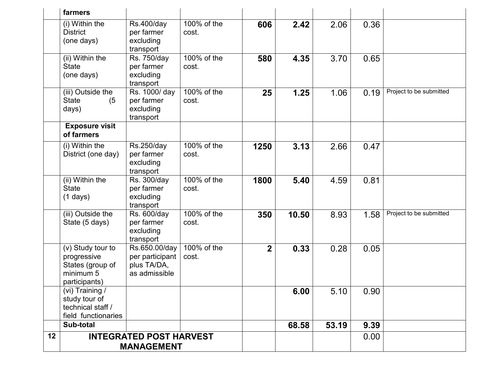|    | farmers                                                                            |                                                                  |                      |                  |       |       |      |                         |
|----|------------------------------------------------------------------------------------|------------------------------------------------------------------|----------------------|------------------|-------|-------|------|-------------------------|
|    | (i) Within the<br><b>District</b><br>(one days)                                    | <b>Rs.400/day</b><br>per farmer<br>excluding<br>transport        | 100% of the<br>cost. | 606              | 2.42  | 2.06  | 0.36 |                         |
|    | (ii) Within the<br><b>State</b><br>(one days)                                      | Rs. 750/day<br>per farmer<br>excluding<br>transport              | 100% of the<br>cost. | 580              | 4.35  | 3.70  | 0.65 |                         |
|    | (iii) Outside the<br><b>State</b><br>(5)<br>days)                                  | Rs. 1000/ day<br>per farmer<br>excluding<br>transport            | 100% of the<br>cost. | 25               | 1.25  | 1.06  | 0.19 | Project to be submitted |
|    | <b>Exposure visit</b><br>of farmers                                                |                                                                  |                      |                  |       |       |      |                         |
|    | (i) Within the<br>District (one day)                                               | Rs.250/day<br>per farmer<br>excluding<br>transport               | 100% of the<br>cost. | 1250             | 3.13  | 2.66  | 0.47 |                         |
|    | (ii) Within the<br><b>State</b><br>$(1 \text{ days})$                              | Rs. 300/day<br>per farmer<br>excluding<br>transport              | 100% of the<br>cost. | 1800             | 5.40  | 4.59  | 0.81 |                         |
|    | (iii) Outside the<br>State (5 days)                                                | Rs. 600/day<br>per farmer<br>excluding<br>transport              | 100% of the<br>cost. | 350              | 10.50 | 8.93  | 1.58 | Project to be submitted |
|    | (v) Study tour to<br>progressive<br>States (group of<br>minimum 5<br>participants) | Rs.650.00/day<br>per participant<br>plus TA/DA,<br>as admissible | 100% of the<br>cost. | $\boldsymbol{2}$ | 0.33  | 0.28  | 0.05 |                         |
|    | (vi) Training /<br>study tour of<br>technical staff /<br>field functionaries       |                                                                  |                      |                  | 6.00  | 5.10  | 0.90 |                         |
|    | Sub-total                                                                          |                                                                  |                      |                  | 68.58 | 53.19 | 9.39 |                         |
| 12 |                                                                                    | <b>INTEGRATED POST HARVEST</b><br><b>MANAGEMENT</b>              |                      |                  |       |       | 0.00 |                         |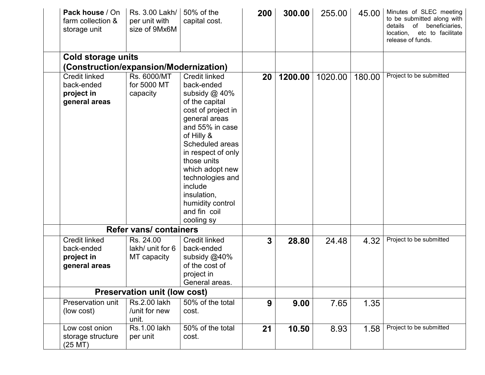| Pack house / On<br>farm collection &<br>storage unit         | Rs. 3.00 Lakh/<br>per unit with<br>size of 9Mx6M | 50% of the<br>capital cost.                                                                                                                                                                                                                         | <b>200</b>      | 300.00  | 255.00  | 45.00  | Minutes of SLEC meeting<br>to be submitted along with<br>of beneficiaries,<br>details<br>location,<br>etc to facilitate<br>release of funds. |
|--------------------------------------------------------------|--------------------------------------------------|-----------------------------------------------------------------------------------------------------------------------------------------------------------------------------------------------------------------------------------------------------|-----------------|---------|---------|--------|----------------------------------------------------------------------------------------------------------------------------------------------|
| Cold storage units<br>(Construction/expansion/Modernization) |                                                  |                                                                                                                                                                                                                                                     |                 |         |         |        |                                                                                                                                              |
| <b>Credit linked</b>                                         | Rs. 6000/MT                                      | <b>Credit linked</b>                                                                                                                                                                                                                                | 20 <sub>1</sub> | 1200.00 | 1020.00 | 180.00 | Project to be submitted                                                                                                                      |
| back-ended                                                   | for 5000 MT                                      | back-ended                                                                                                                                                                                                                                          |                 |         |         |        |                                                                                                                                              |
| project in                                                   | capacity                                         | subsidy @ 40%                                                                                                                                                                                                                                       |                 |         |         |        |                                                                                                                                              |
| general areas                                                |                                                  | of the capital<br>cost of project in<br>general areas<br>and 55% in case<br>of Hilly &<br>Scheduled areas<br>in respect of only<br>those units<br>which adopt new<br>technologies and<br>include<br>insulation,<br>humidity control<br>and fin coil |                 |         |         |        |                                                                                                                                              |
|                                                              | <b>Refer vans/ containers</b>                    | cooling sy                                                                                                                                                                                                                                          |                 |         |         |        |                                                                                                                                              |
| <b>Credit linked</b>                                         | Rs. 24.00                                        | <b>Credit linked</b>                                                                                                                                                                                                                                |                 |         |         |        | Project to be submitted                                                                                                                      |
| back-ended<br>project in<br>general areas                    | lakh/ unit for 6<br>MT capacity                  | back-ended<br>subsidy @40%<br>of the cost of<br>project in                                                                                                                                                                                          | 3 <sup>1</sup>  | 28.80   | 24.48   | 4.32   |                                                                                                                                              |
|                                                              |                                                  | General areas.                                                                                                                                                                                                                                      |                 |         |         |        |                                                                                                                                              |
|                                                              | <b>Preservation unit (low cost)</b>              |                                                                                                                                                                                                                                                     |                 |         |         |        |                                                                                                                                              |
| Preservation unit<br>(low cost)                              | Rs.2.00 lakh<br>/unit for new<br>unit.           | 50% of the total<br>cost.                                                                                                                                                                                                                           | 9               | 9.00    | 7.65    | 1.35   |                                                                                                                                              |
| Low cost onion<br>storage structure<br>$(25$ MT $)$          | <b>Rs.1.00 lakh</b><br>per unit                  | 50% of the total<br>cost.                                                                                                                                                                                                                           | 21              | 10.50   | 8.93    | 1.58   | Project to be submitted                                                                                                                      |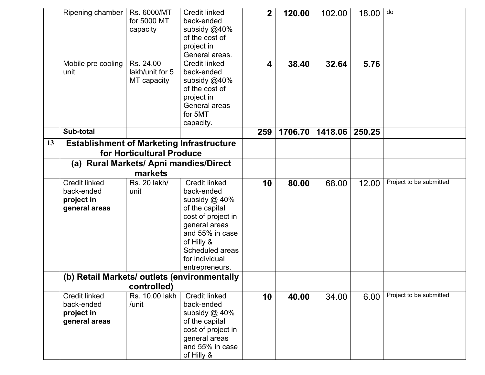|    | Ripening chamber                                                                                                        | Rs. 6000/MT<br>for 5000 MT<br>capacity      | <b>Credit linked</b><br>back-ended<br>subsidy @40%<br>of the cost of<br>project in<br>General areas.                                                                                                 | $\overline{2}$          | 120.00  | 102.00  | 18.00  | do                      |
|----|-------------------------------------------------------------------------------------------------------------------------|---------------------------------------------|------------------------------------------------------------------------------------------------------------------------------------------------------------------------------------------------------|-------------------------|---------|---------|--------|-------------------------|
|    | Mobile pre cooling<br>unit                                                                                              | Rs. 24.00<br>lakh/unit for 5<br>MT capacity | <b>Credit linked</b><br>back-ended<br>subsidy @40%<br>of the cost of<br>project in<br>General areas<br>for 5MT<br>capacity.                                                                          | $\overline{\mathbf{4}}$ | 38.40   | 32.64   | 5.76   |                         |
|    | Sub-total                                                                                                               |                                             |                                                                                                                                                                                                      | 259                     | 1706.70 | 1418.06 | 250.25 |                         |
| 13 | <b>Establishment of Marketing Infrastructure</b><br>for Horticultural Produce<br>(a) Rural Markets/ Apni mandies/Direct |                                             |                                                                                                                                                                                                      |                         |         |         |        |                         |
|    |                                                                                                                         | markets                                     |                                                                                                                                                                                                      |                         |         |         |        |                         |
|    | <b>Credit linked</b><br>back-ended<br>project in<br>general areas                                                       | Rs. 20 lakh/<br>unit                        | <b>Credit linked</b><br>back-ended<br>subsidy @ 40%<br>of the capital<br>cost of project in<br>general areas<br>and 55% in case<br>of Hilly &<br>Scheduled areas<br>for individual<br>entrepreneurs. | 10                      | 80.00   | 68.00   | 12.00  | Project to be submitted |
|    | (b) Retail Markets/ outlets (environmentally<br>controlled)                                                             |                                             |                                                                                                                                                                                                      |                         |         |         |        |                         |
|    | <b>Credit linked</b><br>back-ended<br>project in<br>general areas                                                       | Rs. 10.00 lakh<br>/unit                     | <b>Credit linked</b><br>back-ended<br>subsidy $@$ 40%<br>of the capital<br>cost of project in<br>general areas<br>and 55% in case<br>of Hilly &                                                      | 10                      | 40.00   | 34.00   | 6.00   | Project to be submitted |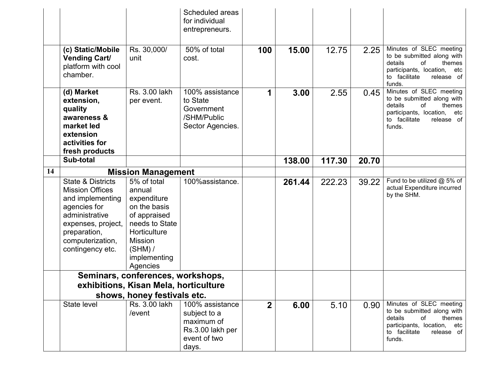|    |                                                                                                                                                                                            |                                                                                                                                                                   | Scheduled areas<br>for individual<br>entrepreneurs.                          |             |        |        |       |                                                                                                                                                             |
|----|--------------------------------------------------------------------------------------------------------------------------------------------------------------------------------------------|-------------------------------------------------------------------------------------------------------------------------------------------------------------------|------------------------------------------------------------------------------|-------------|--------|--------|-------|-------------------------------------------------------------------------------------------------------------------------------------------------------------|
|    | (c) Static/Mobile<br><b>Vending Cart/</b><br>platform with cool<br>chamber.                                                                                                                | Rs. 30,000/<br>unit                                                                                                                                               | 50% of total<br>cost.                                                        | 100         | 15.00  | 12.75  | 2.25  | Minutes of SLEC meeting<br>to be submitted along with<br>details<br>themes<br>οf<br>participants, location,<br>etc<br>to facilitate<br>release of<br>funds. |
|    | (d) Market<br>extension,<br>quality<br>awareness &<br>market led<br>extension<br>activities for<br>fresh products                                                                          | Rs. 3.00 lakh<br>per event.                                                                                                                                       | 100% assistance<br>to State<br>Government<br>/SHM/Public<br>Sector Agencies. | 1           | 3.00   | 2.55   | 0.45  | Minutes of SLEC meeting<br>to be submitted along with<br>details<br>of<br>themes<br>participants, location,<br>etc<br>to facilitate<br>release of<br>funds. |
|    | Sub-total                                                                                                                                                                                  |                                                                                                                                                                   |                                                                              |             | 138.00 | 117.30 | 20.70 |                                                                                                                                                             |
| 14 |                                                                                                                                                                                            | <b>Mission Management</b>                                                                                                                                         |                                                                              |             |        |        |       |                                                                                                                                                             |
|    | <b>State &amp; Districts</b><br><b>Mission Offices</b><br>and implementing<br>agencies for<br>administrative<br>expenses, project,<br>preparation,<br>computerization,<br>contingency etc. | 5% of total<br>annual<br>expenditure<br>on the basis<br>of appraised<br>needs to State<br>Horticulture<br><b>Mission</b><br>$(SHM)$ /<br>implementing<br>Agencies | 100%assistance.                                                              |             | 261.44 | 222.23 | 39.22 | Fund to be utilized @ 5% of<br>actual Expenditure incurred<br>by the SHM.                                                                                   |
|    |                                                                                                                                                                                            | Seminars, conferences, workshops,                                                                                                                                 |                                                                              |             |        |        |       |                                                                                                                                                             |
|    |                                                                                                                                                                                            | exhibitions, Kisan Mela, horticulture                                                                                                                             |                                                                              |             |        |        |       |                                                                                                                                                             |
|    |                                                                                                                                                                                            | shows, honey festivals etc.<br>Rs. 3.00 lakh                                                                                                                      | 100% assistance                                                              |             |        |        |       | Minutes of SLEC meeting                                                                                                                                     |
|    | State level                                                                                                                                                                                | /event                                                                                                                                                            | subject to a<br>maximum of<br>Rs.3.00 lakh per<br>event of two<br>days.      | $\mathbf 2$ | 6.00   | 5.10   | 0.90  | to be submitted along with<br>details<br>themes<br>of<br>participants, location,<br>etc<br>to facilitate<br>release of<br>funds.                            |